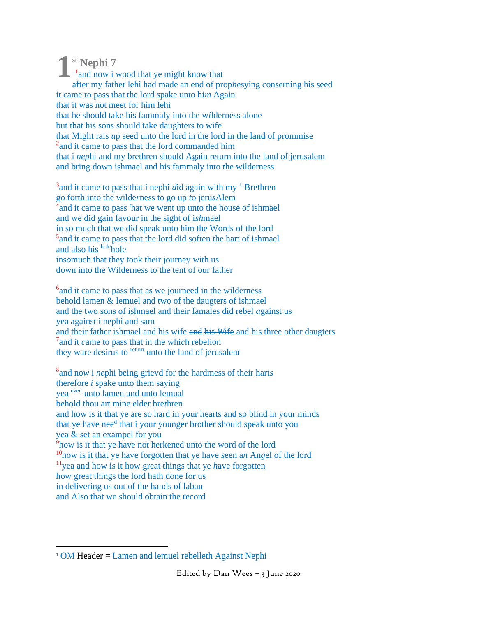**st Nephi 7 1**<sup>1</sup> and now i wood that ye might know that after my father lehi had made an end of prop*h*esying conserning his seed it came to pass that the lord spake unto hi*m* Again that it was not meet for him lehi that he should take his fammaly into the w*i*lderness alone but that his sons should take daughters to wife that Might rais *u*p seed unto the lord in the lord in the land of prommise <sup>2</sup> and it came to pass that the lord commanded him that i *nep*hi and my brethren should Again return into the land of jerusalem and bring down ishmael and his fammaly into the wilderness

<sup>3</sup> and it came to pass that i nephi *d*id again with my <sup>1</sup> Brethren go forth into the wilde*r*ness to go up *t*o jeru*s*Alem  $\frac{4}{4}$  and it came to pass <sup>t</sup>hat we went up unto the house of ishmael and we did gain favour in the sight of i*sh*mael in so much that we did speak unto him the Words of the lord <sup>5</sup> and it came to pass that the lord did soften the hart of ishmael and also his holehole ins*o*much that they took their journey with us down into the Wilderne*s*s to the tent of our father

<sup>6</sup> and it came to pass that as we journeed in the wilderness behold lamen & lemuel and two of the daugters of ishmael and the two sons of ishmael and their famales did rebel *a*gainst us yea against i nephi and sam and their father ishmael and his wife and his *W*ife and his three other daugters 7 and it *c*ame to pass that in the whi*c*h rebelion they ware desirus to <sup>return</sup> unto the land of jerusalem

8 and no*w* i *ne*phi being grievd for the hardmess of their hart*s* therefore *i* spake unto them saying yea even unto lamen and unto lemual behold thou art mine elder bre*t*hren and how is it that ye are so hard in your hearts and so blind in your minds that ye have nee<sup>d</sup> that i your younger brother should speak unto you yea & set an exampel for you <sup>9</sup>how is it that ye have not herkened unto the word of the lord <sup>10</sup>how is it that ye have forgotten that ye have *s*een a*n* An*g*el of the lord <sup>11</sup>yea and how is it how great things that ye *h*ave forgotten how great things the lord hath done for us in delivering us out of the hands of laban and Also that we should obtain the record

 $1$  OM Header = Lamen and lemuel rebelleth Against Nephi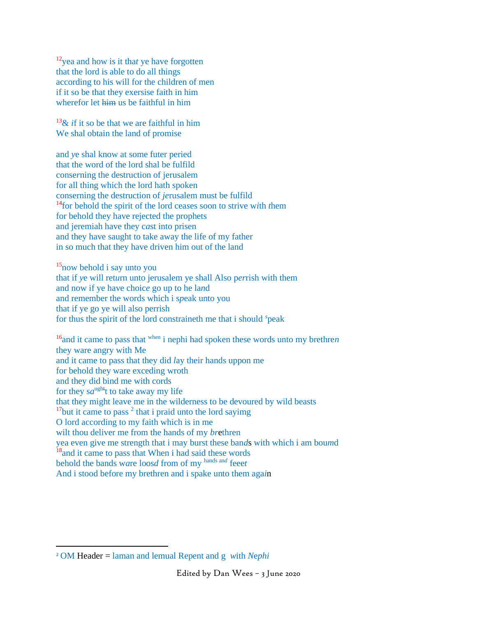<sup>12</sup>yea and how is it tha*t* ye have forgotten that the lord is able to do all things according to his will for the children of men if it so be that they exersise faith in him wherefor let him us be faithful in him

<sup>13</sup>& *if* it so be that we are faithful in him We shal obtain the land of promise

and *y*e shal know at some futer peried that the word of the lord shal be fulfild conse*r*ning the destruction of jerusalem for all thing which the lord hath spoken conserning the destruction of *je*rusalem must be fulfild <sup>14</sup>for behold the spirit of the lord cea*s*es soon to strive w*i*th *t*hem for behold they have rejected the prophets and jeremiah have they c*a*st into prisen and they have saught to take away the life of my father in so much that they have driven him out of the land

<sup>15</sup>now behold i say unto you that if *y*e will ret*u*rn unto jerusalem ye shall Also p*er*rish with them and now if ye have choic*e* go up to he la*n*d and remember the words which i s*p*eak unto you that if ye go ye will also perrish for thus the spirit of the lord constraineth me that i should *<sup>s</sup>* peak

<sup>16</sup>and it came to pass that when i nephi had spoken these words unto my brethre*n* they ware angry with Me and it came to pass that they did *l*ay their hands uppon me for behold they ware exceding wroth and they did bind me with cords for they  $sa^{ught}$  to take away my life that they might leave me in the wilderness to be devoured by wild beasts  $17$ but it came to pass  $2$  that i praid unto the lord sayimg O lord according to my faith which is in me wilt thou deliver me from the hands of my *br*ethren yea even give me strength that i may burst these ban*d*s with which i am bou*m*d <sup>18</sup>and it came to pass that When i had said these words behold the bands w*a*re loos*d* from of my hands an*<sup>d</sup>* feee*t* And i stood before my brethren and i spake unto them aga*i*n

<sup>2</sup> OM Header = laman and lemual Repent and g *w*ith *N*e*phi*